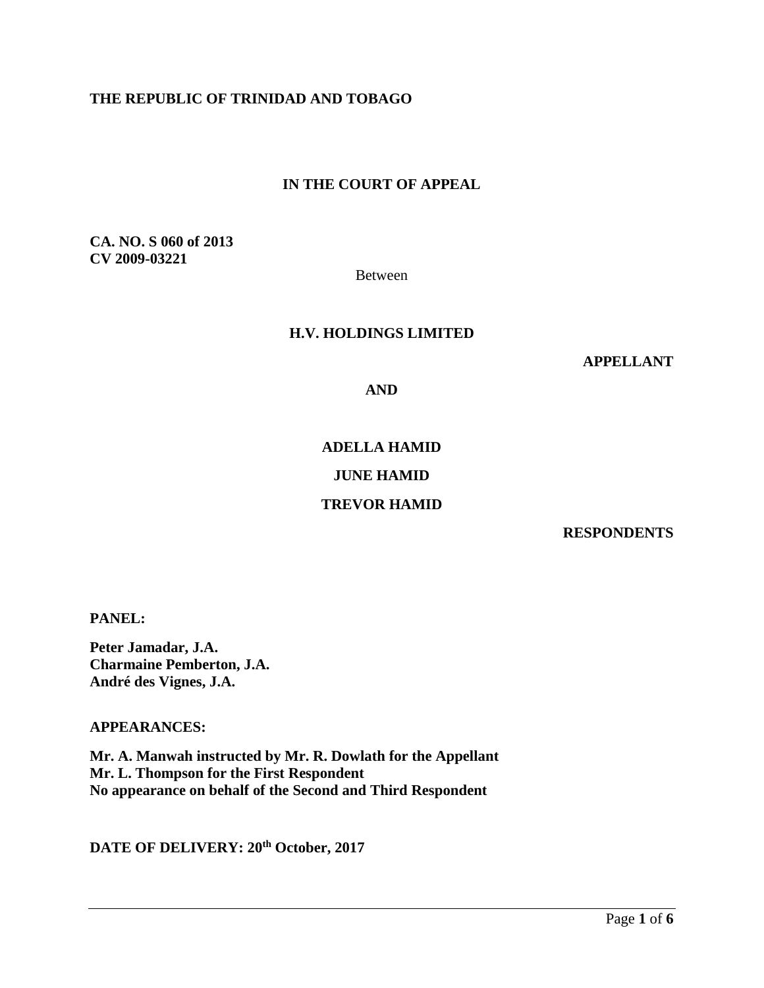# **THE REPUBLIC OF TRINIDAD AND TOBAGO**

## **IN THE COURT OF APPEAL**

**CA. NO. S 060 of 2013 CV 2009-03221**

Between

#### **H.V. HOLDINGS LIMITED**

**APPELLANT**

**AND**

# **ADELLA HAMID**

# **JUNE HAMID**

## **TREVOR HAMID**

**RESPONDENTS**

**PANEL:** 

**Peter Jamadar, J.A. Charmaine Pemberton, J.A. André des Vignes, J.A.**

**APPEARANCES:** 

**Mr. A. Manwah instructed by Mr. R. Dowlath for the Appellant Mr. L. Thompson for the First Respondent No appearance on behalf of the Second and Third Respondent**

**DATE OF DELIVERY: 20th October, 2017**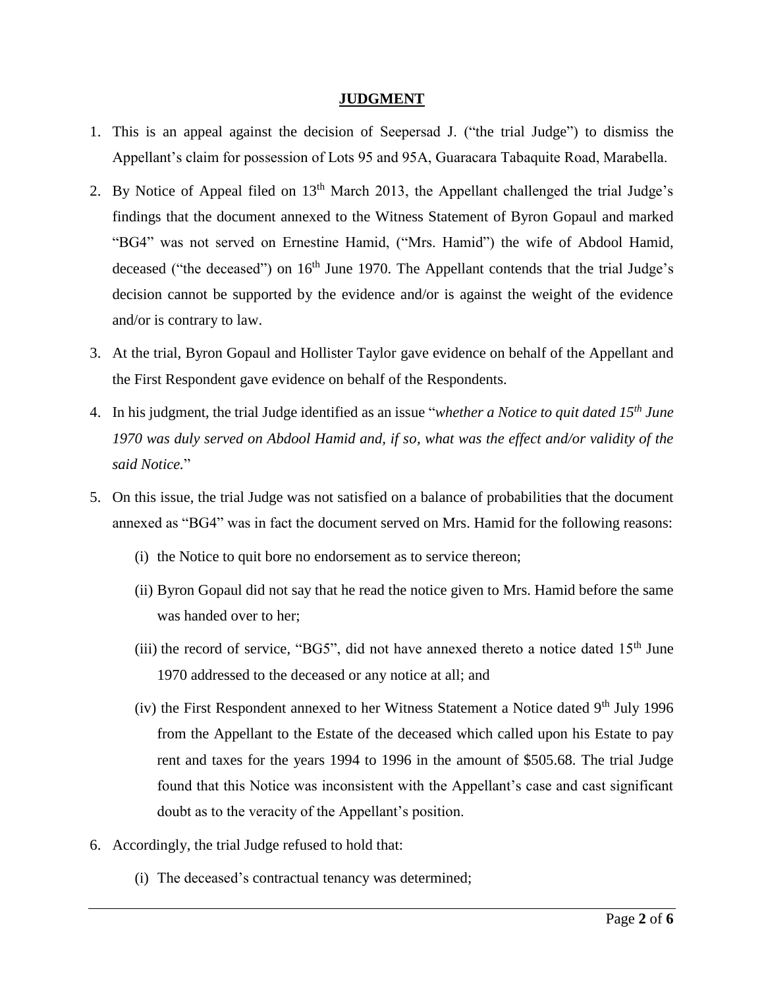### **JUDGMENT**

- 1. This is an appeal against the decision of Seepersad J. ("the trial Judge") to dismiss the Appellant's claim for possession of Lots 95 and 95A, Guaracara Tabaquite Road, Marabella.
- 2. By Notice of Appeal filed on  $13<sup>th</sup>$  March 2013, the Appellant challenged the trial Judge's findings that the document annexed to the Witness Statement of Byron Gopaul and marked "BG4" was not served on Ernestine Hamid, ("Mrs. Hamid") the wife of Abdool Hamid, deceased ("the deceased") on  $16<sup>th</sup>$  June 1970. The Appellant contends that the trial Judge's decision cannot be supported by the evidence and/or is against the weight of the evidence and/or is contrary to law.
- 3. At the trial, Byron Gopaul and Hollister Taylor gave evidence on behalf of the Appellant and the First Respondent gave evidence on behalf of the Respondents.
- 4. In his judgment, the trial Judge identified as an issue "*whether a Notice to quit dated 15th June 1970 was duly served on Abdool Hamid and, if so, what was the effect and/or validity of the said Notice.*"
- 5. On this issue, the trial Judge was not satisfied on a balance of probabilities that the document annexed as "BG4" was in fact the document served on Mrs. Hamid for the following reasons:
	- (i) the Notice to quit bore no endorsement as to service thereon;
	- (ii) Byron Gopaul did not say that he read the notice given to Mrs. Hamid before the same was handed over to her;
	- (iii) the record of service, "BG5", did not have annexed thereto a notice dated  $15<sup>th</sup>$  June 1970 addressed to the deceased or any notice at all; and
	- (iv) the First Respondent annexed to her Witness Statement a Notice dated  $9<sup>th</sup>$  July 1996 from the Appellant to the Estate of the deceased which called upon his Estate to pay rent and taxes for the years 1994 to 1996 in the amount of \$505.68. The trial Judge found that this Notice was inconsistent with the Appellant's case and cast significant doubt as to the veracity of the Appellant's position.
- 6. Accordingly, the trial Judge refused to hold that:
	- (i) The deceased's contractual tenancy was determined;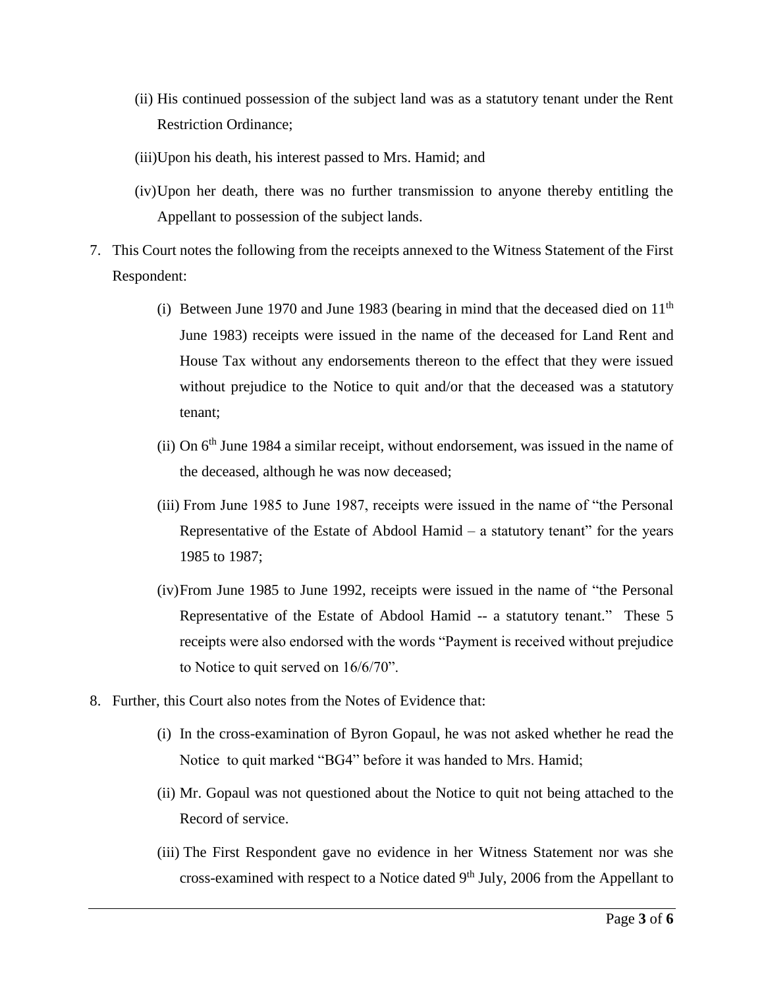- (ii) His continued possession of the subject land was as a statutory tenant under the Rent Restriction Ordinance;
- (iii)Upon his death, his interest passed to Mrs. Hamid; and
- (iv)Upon her death, there was no further transmission to anyone thereby entitling the Appellant to possession of the subject lands.
- 7. This Court notes the following from the receipts annexed to the Witness Statement of the First Respondent:
	- (i) Between June 1970 and June 1983 (bearing in mind that the deceased died on  $11<sup>th</sup>$ June 1983) receipts were issued in the name of the deceased for Land Rent and House Tax without any endorsements thereon to the effect that they were issued without prejudice to the Notice to quit and/or that the deceased was a statutory tenant;
	- (ii) On  $6<sup>th</sup>$  June 1984 a similar receipt, without endorsement, was issued in the name of the deceased, although he was now deceased;
	- (iii) From June 1985 to June 1987, receipts were issued in the name of "the Personal Representative of the Estate of Abdool Hamid  $-$  a statutory tenant" for the years 1985 to 1987;
	- (iv)From June 1985 to June 1992, receipts were issued in the name of "the Personal Representative of the Estate of Abdool Hamid -- a statutory tenant." These 5 receipts were also endorsed with the words "Payment is received without prejudice to Notice to quit served on 16/6/70".
- 8. Further, this Court also notes from the Notes of Evidence that:
	- (i) In the cross-examination of Byron Gopaul, he was not asked whether he read the Notice to quit marked "BG4" before it was handed to Mrs. Hamid;
	- (ii) Mr. Gopaul was not questioned about the Notice to quit not being attached to the Record of service.
	- (iii) The First Respondent gave no evidence in her Witness Statement nor was she cross-examined with respect to a Notice dated  $9<sup>th</sup>$  July, 2006 from the Appellant to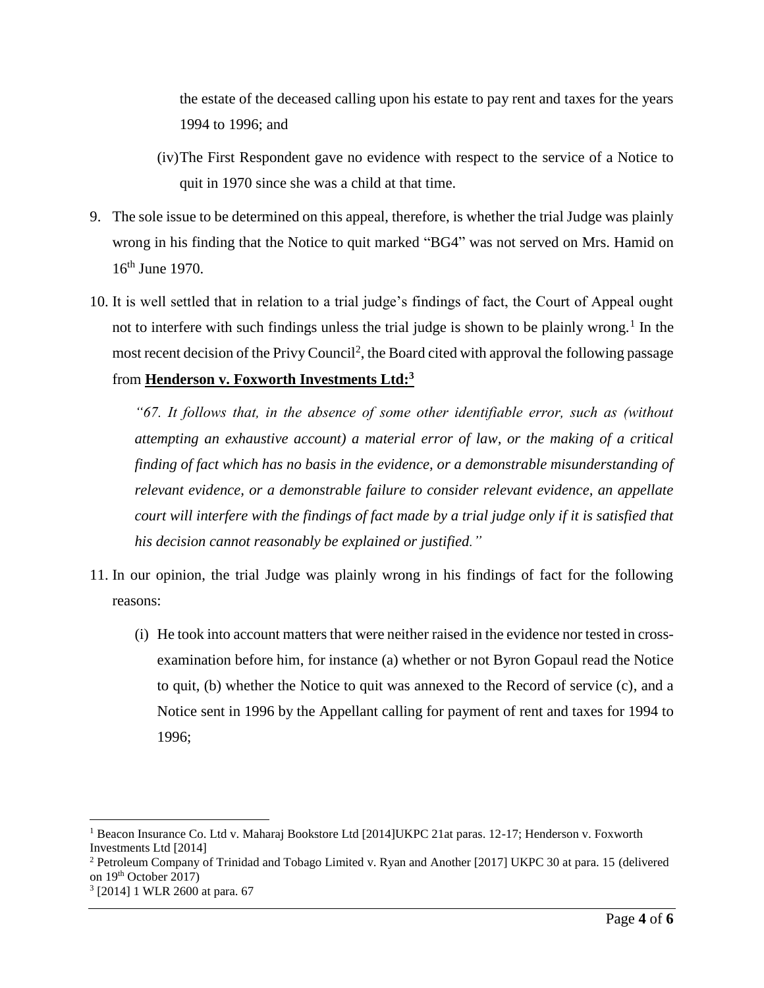the estate of the deceased calling upon his estate to pay rent and taxes for the years 1994 to 1996; and

- (iv)The First Respondent gave no evidence with respect to the service of a Notice to quit in 1970 since she was a child at that time.
- 9. The sole issue to be determined on this appeal, therefore, is whether the trial Judge was plainly wrong in his finding that the Notice to quit marked "BG4" was not served on Mrs. Hamid on 16<sup>th</sup> June 1970.
- 10. It is well settled that in relation to a trial judge's findings of fact, the Court of Appeal ought not to interfere with such findings unless the trial judge is shown to be plainly wrong.<sup>1</sup> In the most recent decision of the Privy Council<sup>2</sup>, the Board cited with approval the following passage from **Henderson v. Foxworth Investments Ltd:<sup>3</sup>**

*"67. It follows that, in the absence of some other identifiable error, such as (without attempting an exhaustive account) a material error of law, or the making of a critical finding of fact which has no basis in the evidence, or a demonstrable misunderstanding of relevant evidence, or a demonstrable failure to consider relevant evidence, an appellate court will interfere with the findings of fact made by a trial judge only if it is satisfied that his decision cannot reasonably be explained or justified."*

- 11. In our opinion, the trial Judge was plainly wrong in his findings of fact for the following reasons:
	- (i) He took into account matters that were neither raised in the evidence nor tested in crossexamination before him, for instance (a) whether or not Byron Gopaul read the Notice to quit, (b) whether the Notice to quit was annexed to the Record of service (c), and a Notice sent in 1996 by the Appellant calling for payment of rent and taxes for 1994 to 1996;

 $\overline{a}$ <sup>1</sup> Beacon Insurance Co. Ltd v. Maharaj Bookstore Ltd [2014]UKPC 21at paras. 12-17; Henderson v. Foxworth Investments Ltd [2014]

<sup>2</sup> Petroleum Company of Trinidad and Tobago Limited v. Ryan and Another [2017] UKPC 30 at para. 15 (delivered on 19th October 2017)

<sup>3</sup> [2014] 1 WLR 2600 at para. 67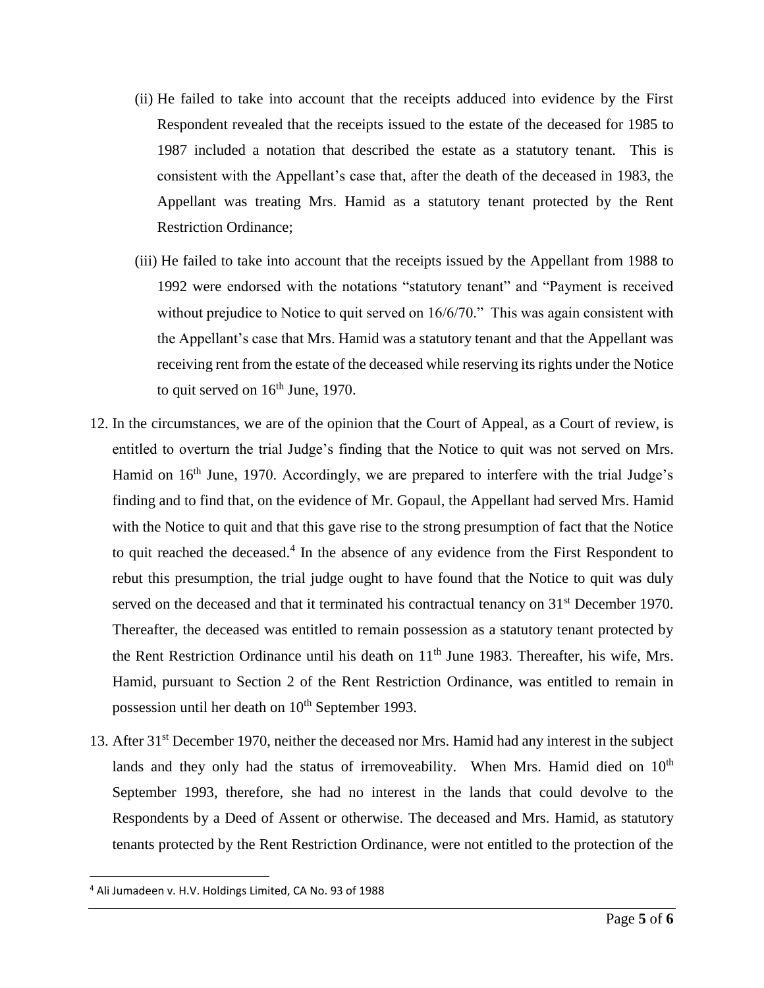- (ii) He failed to take into account that the receipts adduced into evidence by the First Respondent revealed that the receipts issued to the estate of the deceased for 1985 to 1987 included a notation that described the estate as a statutory tenant. This is consistent with the Appellant's case that, after the death of the deceased in 1983, the Appellant was treating Mrs. Hamid as a statutory tenant protected by the Rent Restriction Ordinance;
- (iii) He failed to take into account that the receipts issued by the Appellant from 1988 to 1992 were endorsed with the notations "statutory tenant" and "Payment is received without prejudice to Notice to quit served on 16/6/70." This was again consistent with the Appellant's case that Mrs. Hamid was a statutory tenant and that the Appellant was receiving rent from the estate of the deceased while reserving its rights under the Notice to quit served on  $16<sup>th</sup>$  June, 1970.
- 12. In the circumstances, we are of the opinion that the Court of Appeal, as a Court of review, is entitled to overturn the trial Judge's finding that the Notice to quit was not served on Mrs. Hamid on 16<sup>th</sup> June, 1970. Accordingly, we are prepared to interfere with the trial Judge's finding and to find that, on the evidence of Mr. Gopaul, the Appellant had served Mrs. Hamid with the Notice to quit and that this gave rise to the strong presumption of fact that the Notice to quit reached the deceased.<sup>4</sup> In the absence of any evidence from the First Respondent to rebut this presumption, the trial judge ought to have found that the Notice to quit was duly served on the deceased and that it terminated his contractual tenancy on 31<sup>st</sup> December 1970. Thereafter, the deceased was entitled to remain possession as a statutory tenant protected by the Rent Restriction Ordinance until his death on  $11<sup>th</sup>$  June 1983. Thereafter, his wife, Mrs. Hamid, pursuant to Section 2 of the Rent Restriction Ordinance, was entitled to remain in possession until her death on  $10<sup>th</sup>$  September 1993.
- 13. After 31<sup>st</sup> December 1970, neither the deceased nor Mrs. Hamid had any interest in the subject lands and they only had the status of irremoveability. When Mrs. Hamid died on  $10<sup>th</sup>$ September 1993, therefore, she had no interest in the lands that could devolve to the Respondents by a Deed of Assent or otherwise. The deceased and Mrs. Hamid, as statutory tenants protected by the Rent Restriction Ordinance, were not entitled to the protection of the

 $\overline{\phantom{a}}$ 

<sup>4</sup> Ali Jumadeen v. H.V. Holdings Limited, CA No. 93 of 1988